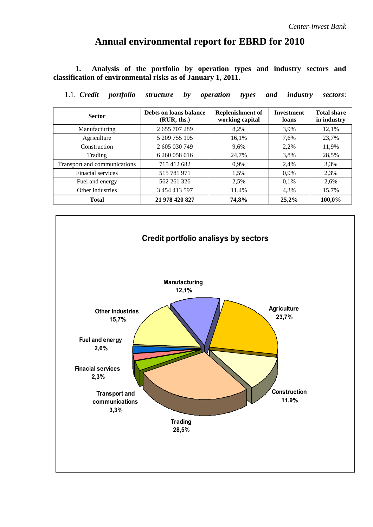# **Annual environmental report for EBRD for 2010**

**1. Analysis of the portfolio by operation types and industry sectors and classification of environmental risks as of January 1, 2011.**

| <b>Sector</b>                | <b>Replenishment of</b><br>Debts on loans balance<br>working capital<br>(RUR, ths.) |       | <b>Investment</b><br>loans | <b>Total share</b><br>in industry |
|------------------------------|-------------------------------------------------------------------------------------|-------|----------------------------|-----------------------------------|
| Manufacturing                | 2 655 707 289                                                                       | 8,2%  | 3.9%                       | 12,1%                             |
| Agriculture                  | 5 209 755 195                                                                       | 16,1% | 7,6%                       | 23,7%                             |
| Construction                 | 2 605 030 749                                                                       | 9,6%  | 2,2%                       | 11,9%                             |
| Trading                      | 6 260 058 016                                                                       | 24,7% | 3,8%                       | 28,5%                             |
| Transport and communications | 715 412 682                                                                         | 0,9%  | 2,4%                       | 3,3%                              |
| Finacial services            | 515 781 971                                                                         | 1,5%  | 0.9%                       | 2,3%                              |
| Fuel and energy              | 562 261 326                                                                         | 2,5%  | 0,1%                       | 2,6%                              |
| Other industries             | 3 454 413 597                                                                       | 11,4% | 4,3%                       | 15,7%                             |
| <b>Total</b>                 | 21 978 420 827                                                                      | 74,8% | 25,2%                      | 100,0%                            |

1.1. *Credit portfolio structure by operation types and industry sectors*:

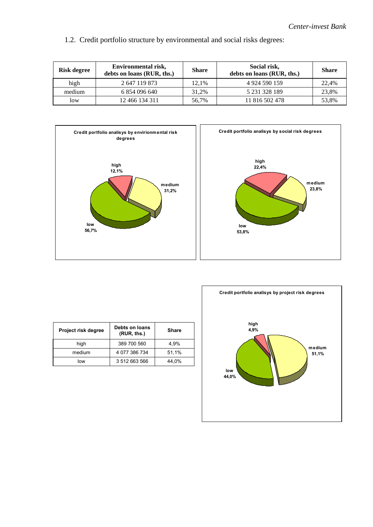1.2. Credit portfolio structure by environmental and social risks degrees:

| Risk degree | Environmental risk,<br>debts on loans (RUR, ths.) |       | Social risk,<br>debts on loans (RUR, ths.) | Share |
|-------------|---------------------------------------------------|-------|--------------------------------------------|-------|
| high        | 2 647 119 873                                     | 12.1% | 4 924 590 159                              | 22.4% |
| medium      | 6 854 096 640                                     | 31.2% | 5 231 328 189                              | 23.8% |
| low         | 12 466 134 311                                    | 56.7% | 11 816 502 478                             | 53,8% |





| Project risk degree | Debts on loans<br>(RUR, ths.) | <b>Share</b> |
|---------------------|-------------------------------|--------------|
| high                | 389 700 560                   | 4.9%         |
| medium              | 4 077 386 734                 | 51,1%        |
| low                 | 3 512 663 566                 | 44.0%        |

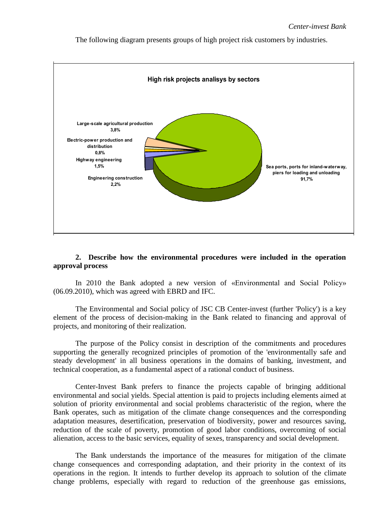The following diagram presents groups of high project risk customers by industries.



## **2. Describe how the environmental procedures were included in the operation approval process**

In 2010 the Bank adopted a new version of «Environmental and Social Policy» (06.09.2010), which was agreed with EBRD and IFC.

The Environmental and Social policy of JSC CB Center-invest (further 'Policy') is a key element of the process of decision-making in the Bank related to financing and approval of projects, and monitoring of their realization.

The purpose of the Policy consist in description of the commitments and procedures supporting the generally recognized principles of promotion of the 'environmentally safe and steady development' in all business operations in the domains of banking, investment, and technical cooperation, as a fundamental aspect of a rational conduct of business.

Center-Invest Bank prefers to finance the projects capable of bringing additional environmental and social yields. Special attention is paid to projects including elements aimed at solution of priority environmental and social problems characteristic of the region, where the Bank operates, such as mitigation of the climate change consequences and the corresponding adaptation measures, desertification, preservation of biodiversity, power and resources saving, reduction of the scale of poverty, promotion of good labor conditions, overcoming of social alienation, access to the basic services, equality of sexes, transparency and social development.

The Bank understands the importance of the measures for mitigation of the climate change consequences and corresponding adaptation, and their priority in the context of its operations in the region. It intends to further develop its approach to solution of the climate change problems, especially with regard to reduction of the greenhouse gas emissions,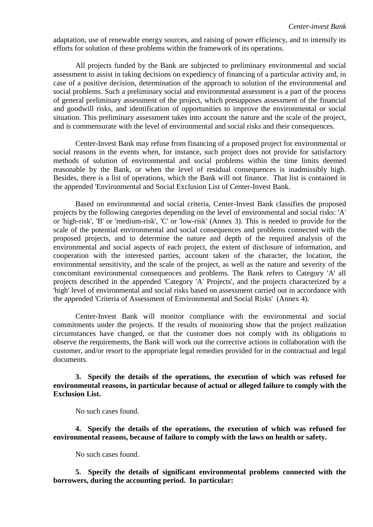adaptation, use of renewable energy sources, and raising of power efficiency, and to intensify its efforts for solution of these problems within the framework of its operations.

All projects funded by the Bank are subjected to preliminary environmental and social assessment to assist in taking decisions on expediency of financing of a particular activity and, in case of a positive decision, determination of the approach to solution of the environmental and social problems. Such a preliminary social and environmental assessment is a part of the process of general preliminary assessment of the project, which presupposes assessment of the financial and goodwill risks, and identification of opportunities to improve the environmental or social situation. This preliminary assessment takes into account the nature and the scale of the project, and is commensurate with the level of environmental and social risks and their consequences.

Center-Invest Bank may refuse from financing of a proposed project for environmental or social reasons in the events when, for instance, such project does not provide for satisfactory methods of solution of environmental and social problems within the time limits deemed reasonable by the Bank, or when the level of residual consequences is inadmissibly high. Besides, there is a list of operations, which the Bank will not finance. That list is contained in the appended 'Environmental and Social Exclusion List of Center-Invest Bank.

Based on environmental and social criteria, Center-Invest Bank classifies the proposed projects by the following categories depending on the level of environmental and social risks: 'A' or 'high-risk', 'B' or 'medium-risk', 'C' or 'low-risk' (Annex 3). This is needed to provide for the scale of the potential environmental and social consequences and problems connected with the proposed projects, and to determine the nature and depth of the required analysis of the environmental and social aspects of each project, the extent of disclosure of information, and cooperation with the interested parties, account taken of the character, the location, the environmental sensitivity, and the scale of the project, as well as the nature and severity of the concomitant environmental consequences and problems. The Bank refers to Category 'A' all projects described in the appended 'Category 'A' Projects', and the projects characterized by a 'high' level of environmental and social risks based on assessment carried out in accordance with the appended 'Criteria of Assessment of Environmental and Social Risks' (Annex 4).

Center-Invest Bank will monitor compliance with the environmental and social commitments under the projects. If the results of monitoring show that the project realization circumstances have changed, or that the customer does not comply with its obligations to observe the requirements, the Bank will work out the corrective actions in collaboration with the customer, and/or resort to the appropriate legal remedies provided for in the contractual and legal documents.

**3. Specify the details of the operations, the execution of which was refused for environmental reasons, in particular because of actual or alleged failure to comply with the Exclusion List.**

No such cases found.

**4. Specify the details of the operations, the execution of which was refused for environmental reasons, because of failure to comply with the laws on health or safety.** 

No such cases found.

**5. Specify the details of significant environmental problems connected with the borrowers, during the accounting period. In particular:**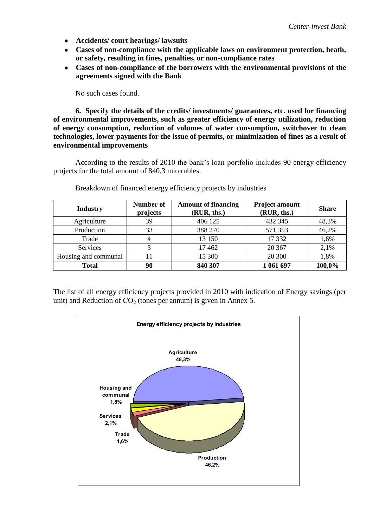- **Accidents/ court hearings/ lawsuits**
- **Cases of non-compliance with the applicable laws on environment protection, heath, or safety, resulting in fines, penalties, or non-compliance rates**
- **Cases of non-compliance of the borrowers with the environmental provisions of the agreements signed with the Bank**

No such cases found.

**6. Specify the details of the credits/ investments/ guarantees, etc. used for financing of environmental improvements, such as greater efficiency of energy utilization, reduction of energy consumption, reduction of volumes of water consumption, switchover to clean technologies, lower payments for the issue of permits, or minimization of fines as a result of environmental improvements** 

According to the results of 2010 the bank's loan portfolio includes 90 energy efficiency projects for the total amount of 840,3 mio rubles.

| <b>Industry</b>      | <b>Number of</b><br>projects | <b>Amount of financing</b><br>(RUR, ths.) | <b>Project amount</b><br>(RUR, ths.) | <b>Share</b> |
|----------------------|------------------------------|-------------------------------------------|--------------------------------------|--------------|
| Agriculture          | 39                           | 406 125                                   | 432 345                              | 48,3%        |
| Production           | 33                           | 388 270                                   | 571 353                              | 46,2%        |
| Trade                | 4                            | 13 150                                    | 17 332                               | 1,6%         |
| Services             |                              | 17462                                     | 20 3 67                              | 2,1%         |
| Housing and communal | 11                           | 15 300                                    | 20 300                               | 1,8%         |
| <b>Total</b>         | 90                           | 840 307                                   | 1 061 697                            | 100,0%       |

Breakdown of financed energy efficiency projects by industries

The list of all energy efficiency projects provided in 2010 with indication of Energy savings (per unit) and Reduction of  $CO<sub>2</sub>$  (tones per annum) is given in Annex 5.

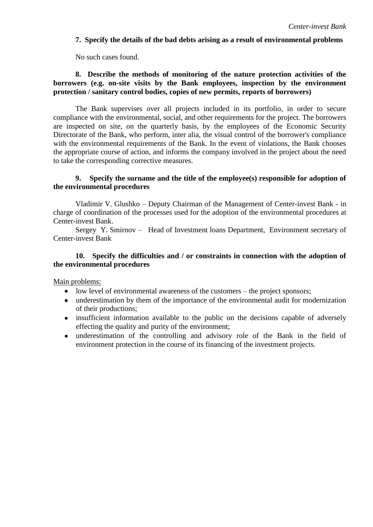#### **7. Specify the details of the bad debts arising as a result of environmental problems**

No such cases found.

## **8. Describe the methods of monitoring of the nature protection activities of the borrowers (e.g. on-site visits by the Bank employees, inspection by the environment protection / sanitary control bodies, copies of new permits, reports of borrowers)**

The Bank supervises over all projects included in its portfolio, in order to secure compliance with the environmental, social, and other requirements for the project. The borrowers are inspected on site, on the quarterly basis, by the employees of the Economic Security Directorate of the Bank, who perform, inter alia, the visual control of the borrower's compliance with the environmental requirements of the Bank. In the event of violations, the Bank chooses the appropriate course of action, and informs the company involved in the project about the need to take the corresponding corrective measures.

#### **9. Specify the surname and the title of the employee(s) responsible for adoption of the environmental procedures**

Vladimir V. Glushko – Deputy Chairman of the Management of Center-invest Bank - in charge of coordination of the processes used for the adoption of the environmental procedures at Center-invest Bank.

Sergey Y. Smirnov – Head of Investment loans Department, Environment secretary of Center-invest Bank

#### **10. Specify the difficulties and / or constraints in connection with the adoption of the environmental procedures**

Main problems:

- low level of environmental awareness of the customers the project sponsors;
- underestimation by them of the importance of the environmental audit for modernization of their productions;
- insufficient information available to the public on the decisions capable of adversely effecting the quality and purity of the environment;
- underestimation of the controlling and advisory role of the Bank in the field of environment protection in the course of its financing of the investment projects.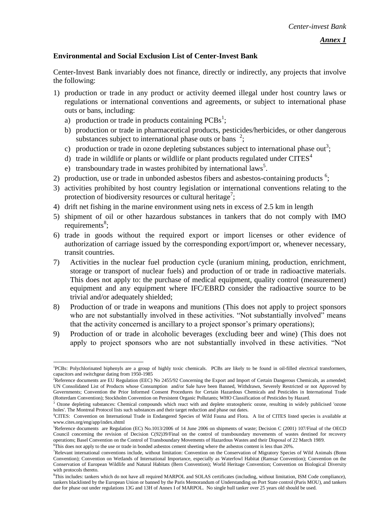## **Environmental and Social Exclusion List of Center-Invest Bank**

Center-Invest Bank invariably does not finance, directly or indirectly, any projects that involve the following:

- 1) production or trade in any product or activity deemed illegal under host country laws or regulations or international conventions and agreements, or subject to international phase outs or bans, including:
	- a) production or trade in products containing  $PCBs^1$ ;

1

- b) production or trade in pharmaceutical products, pesticides/herbicides, or other dangerous substances subject to international phase outs or bans  $2$ ;
- c) production or trade in ozone depleting substances subject to international phase out<sup>3</sup>;
- d) trade in wildlife or plants or wildlife or plant products regulated under  $CITES<sup>4</sup>$
- e) transboundary trade in wastes prohibited by international laws<sup>5</sup>.
- 2) production, use or trade in unbonded asbestos fibers and asbestos-containing products  $6$ ;
- 3) activities prohibited by host country legislation or international conventions relating to the protection of biodiversity resources or cultural heritage<sup>7</sup>;
- 4) drift net fishing in the marine environment using nets in excess of 2.5 km in length
- 5) shipment of oil or other hazardous substances in tankers that do not comply with IMO  $requirements<sup>8</sup>;$
- 6) trade in goods without the required export or import licenses or other evidence of authorization of carriage issued by the corresponding export/import or, whenever necessary, transit countries.
- 7) Activities in the nuclear fuel production cycle (uranium mining, production, enrichment, storage or transport of nuclear fuels) and production of or trade in radioactive materials. This does not apply to: the purchase of medical equipment, quality control (measurement) equipment and any equipment where IFC/EBRD consider the radioactive source to be trivial and/or adequately shielded;
- 8) Production of or trade in weapons and munitions (This does not apply to project sponsors who are not substantially involved in these activities. "Not substantially involved" means that the activity concerned is ancillary to a project sponsor's primary operations);
- 9) Production of or trade in alcoholic beverages (excluding beer and wine) (This does not apply to project sponsors who are not substantially involved in these activities. "Not

<sup>&</sup>lt;sup>1</sup>PCBs: Polychlorinated biphenyls are a group of highly toxic chemicals. PCBs are likely to be found in oil-filled electrical transformers, capacitors and switchgear dating from 1950-1985

<sup>&</sup>lt;sup>2</sup>Reference documents are EU Regulation (EEC) No 2455/92 Concerning the Export and Import of Certain Dangerous Chemicals, as amended; UN Consolidated List of Products whose Consumption and/or Sale have been Banned, Withdrawn, Severely Restricted or not Approved by Governments; Convention the Prior Informed Consent Procedures for Certain Hazardous Chemicals and Pesticides in International Trade (Rotterdam Convention); Stockholm Convention on Persistent Organic Pollutants; WHO Classification of Pesticides by Hazard.

<sup>3</sup> Ozone depleting substances: Chemical compounds which react with and deplete stratospheric ozone, resulting in widely publicised 'ozone holes'. The Montreal Protocol lists such substances and their target reduction and phase out dates.

<sup>4</sup>CITES: Convention on International Trade in Endangered Species of Wild Fauna and Flora. A list of CITES listed species is available at www.cites.org/eng/app/index.shtml

<sup>5</sup>Reference documents are Regulation (EC) No.1013/2006 of 14 June 2006 on shipments of waste; Decision C (2001) 107/Final of the OECD Council concerning the revision of Decision C(92)39/Final on the control of transboundary movements of wastes destined for recovery operations; Basel Convention on the Control of Transboundary Movements of Hazardous Wastes and their Disposal of 22 March 1989. <sup>6</sup>This does not apply to the use or trade in bonded asbestos cement sheeting where the asbestos content is less than 20%.

<sup>7</sup>Relevant international conventions include, without limitation: Convention on the Conservation of Migratory Species of Wild Animals (Bonn Convention); Convention on Wetlands of International Importance, especially as Waterfowl Habitat (Ramsar Convention); Convention on the Conservation of European Wildlife and Natural Habitats (Bern Convention); World Heritage Convention; Convention on Biological Diversity with protocols thereto.

<sup>8</sup>This includes: tankers which do not have all required MARPOL and SOLAS certificates (including, without limitation, ISM Code compliance), tankers blacklisted by the European Union or banned by the Paris Memorandum of Understanding on Port State control (Paris MOU), and tankers due for phase out under regulations 13G and 13H of Annex I of MARPOL. No single hull tanker over 25 years old should be used.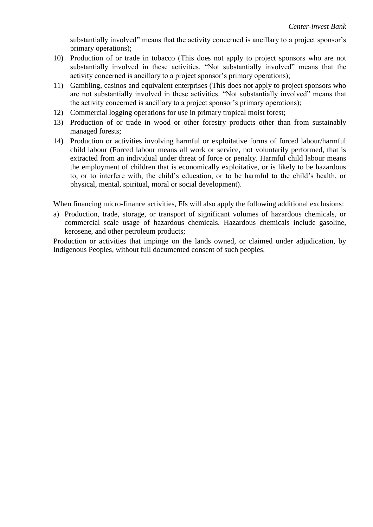substantially involved" means that the activity concerned is ancillary to a project sponsor's primary operations);

- 10) Production of or trade in tobacco (This does not apply to project sponsors who are not substantially involved in these activities. "Not substantially involved" means that the activity concerned is ancillary to a project sponsor's primary operations);
- 11) Gambling, casinos and equivalent enterprises (This does not apply to project sponsors who are not substantially involved in these activities. "Not substantially involved" means that the activity concerned is ancillary to a project sponsor's primary operations);
- 12) Commercial logging operations for use in primary tropical moist forest;
- 13) Production of or trade in wood or other forestry products other than from sustainably managed forests;
- 14) Production or activities involving harmful or exploitative forms of forced labour/harmful child labour (Forced labour means all work or service, not voluntarily performed, that is extracted from an individual under threat of force or penalty. Harmful child labour means the employment of children that is economically exploitative, or is likely to be hazardous to, or to interfere with, the child's education, or to be harmful to the child's health, or physical, mental, spiritual, moral or social development).

When financing micro-finance activities, FIs will also apply the following additional exclusions:

a) Production, trade, storage, or transport of significant volumes of hazardous chemicals, or commercial scale usage of hazardous chemicals. Hazardous chemicals include gasoline, kerosene, and other petroleum products;

Production or activities that impinge on the lands owned, or claimed under adjudication, by Indigenous Peoples, without full documented consent of such peoples.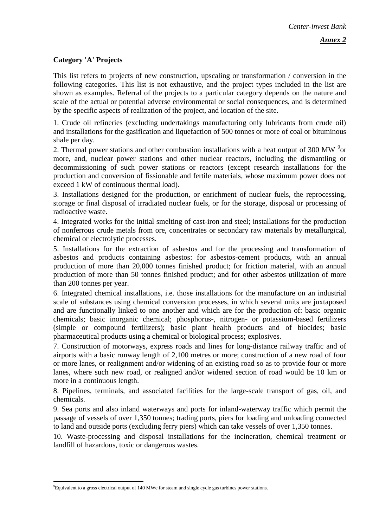## **Category 'A' Projects**

This list refers to projects of new construction, upscaling or transformation / conversion in the following categories. This list is not exhaustive, and the project types included in the list are shown as examples. Referral of the projects to a particular category depends on the nature and scale of the actual or potential adverse environmental or social consequences, and is determined by the specific aspects of realization of the project, and location of the site.

1. Crude oil refineries (excluding undertakings manufacturing only lubricants from crude oil) and installations for the gasification and liquefaction of 500 tonnes or more of coal or bituminous shale per day.

2. Thermal power stations and other combustion installations with a heat output of 300 MW  $^{9}$ or more, and, nuclear power stations and other nuclear reactors, including the dismantling or decommissioning of such power stations or reactors (except research installations for the production and conversion of fissionable and fertile materials, whose maximum power does not exceed 1 kW of continuous thermal load).

3. Installations designed for the production, or enrichment of nuclear fuels, the reprocessing, storage or final disposal of irradiated nuclear fuels, or for the storage, disposal or processing of radioactive waste.

4. Integrated works for the initial smelting of cast-iron and steel; installations for the production of nonferrous crude metals from ore, concentrates or secondary raw materials by metallurgical, chemical or electrolytic processes.

5. Installations for the extraction of asbestos and for the processing and transformation of asbestos and products containing asbestos: for asbestos-cement products, with an annual production of more than 20,000 tonnes finished product; for friction material, with an annual production of more than 50 tonnes finished product; and for other asbestos utilization of more than 200 tonnes per year.

6. Integrated chemical installations, i.e. those installations for the manufacture on an industrial scale of substances using chemical conversion processes, in which several units are juxtaposed and are functionally linked to one another and which are for the production of: basic organic chemicals; basic inorganic chemical; phosphorus-, nitrogen- or potassium-based fertilizers (simple or compound fertilizers); basic plant health products and of biocides; basic pharmaceutical products using a chemical or biological process; explosives.

7. Construction of motorways, express roads and lines for long-distance railway traffic and of airports with a basic runway length of 2,100 metres or more; construction of a new road of four or more lanes, or realignment and/or widening of an existing road so as to provide four or more lanes, where such new road, or realigned and/or widened section of road would be 10 km or more in a continuous length.

8. Pipelines, terminals, and associated facilities for the large-scale transport of gas, oil, and chemicals.

9. Sea ports and also inland waterways and ports for inland-waterway traffic which permit the passage of vessels of over 1,350 tonnes; trading ports, piers for loading and unloading connected to land and outside ports (excluding ferry piers) which can take vessels of over 1,350 tonnes.

10. Waste-processing and disposal installations for the incineration, chemical treatment or landfill of hazardous, toxic or dangerous wastes.

1

<sup>9</sup>Equivalent to a gross electrical output of 140 MWe for steam and single cycle gas turbines power stations.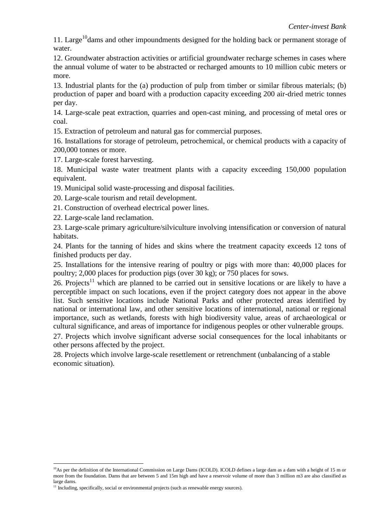11. Large<sup>10</sup> dams and other impoundments designed for the holding back or permanent storage of water.

12. Groundwater abstraction activities or artificial groundwater recharge schemes in cases where the annual volume of water to be abstracted or recharged amounts to 10 million cubic meters or more.

13. Industrial plants for the (a) production of pulp from timber or similar fibrous materials; (b) production of paper and board with a production capacity exceeding 200 air-dried metric tonnes per day.

14. Large-scale peat extraction, quarries and open-cast mining, and processing of metal ores or coal.

15. Extraction of petroleum and natural gas for commercial purposes.

16. Installations for storage of petroleum, petrochemical, or chemical products with a capacity of 200,000 tonnes or more.

17. Large-scale forest harvesting.

18. Municipal waste water treatment plants with a capacity exceeding 150,000 population equivalent.

19. Municipal solid waste-processing and disposal facilities.

20. Large-scale tourism and retail development.

21. Construction of overhead electrical power lines.

22. Large-scale land reclamation.

23. Large-scale primary agriculture/silviculture involving intensification or conversion of natural habitats.

24. Plants for the tanning of hides and skins where the treatment capacity exceeds 12 tons of finished products per day.

25. Installations for the intensive rearing of poultry or pigs with more than: 40,000 places for poultry; 2,000 places for production pigs (over 30 kg); or 750 places for sows.

26. Projects<sup>11</sup> which are planned to be carried out in sensitive locations or are likely to have a perceptible impact on such locations, even if the project category does not appear in the above list. Such sensitive locations include National Parks and other protected areas identified by national or international law, and other sensitive locations of international, national or regional importance, such as wetlands, forests with high biodiversity value, areas of archaeological or cultural significance, and areas of importance for indigenous peoples or other vulnerable groups.

27. Projects which involve significant adverse social consequences for the local inhabitants or other persons affected by the project.

28. Projects which involve large-scale resettlement or retrenchment (unbalancing of a stable economic situation).

<sup>1</sup>  $^{10}$ As per the definition of the International Commission on Large Dams (ICOLD). ICOLD defines a large dam as a dam with a height of 15 m or more from the foundation. Dams that are between 5 and 15m high and have a reservoir volume of more than 3 million m3 are also classified as large dams.

<sup>&</sup>lt;sup>11</sup> Including, specifically, social or environmental projects (such as renewable energy sources).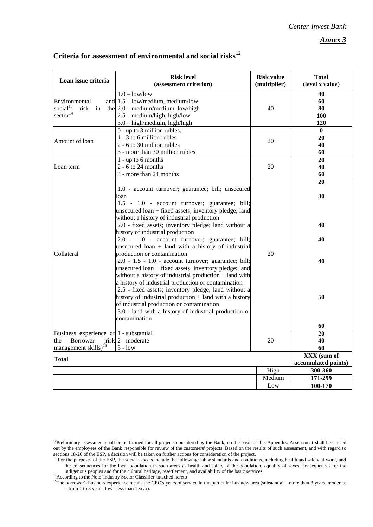*Annex 3* 

| Loan issue criteria<br>(assessment criterion)<br>(multiplier)<br>(level x value)<br>$1.0 - low/low$<br>40<br>Environmental<br>and $1.5 - low/medium$ , medium/low<br>60<br>social $13$<br>risk<br>the $2.0$ – medium/medium, low/high<br>in<br>40<br>80<br>$\text{sector}^{14}$<br>$2.5$ – medium/high, high/low<br>100<br>3.0 - high/medium, high/high<br>120<br>$0$ - up to 3 million rubles.<br>$\bf{0}$<br>1 - 3 to 6 million rubles<br>20<br>20<br>Amount of loan<br>2 - 6 to 30 million rubles<br>40<br>3 - more than 30 million rubles<br>60<br>$1 - up to 6 months$<br>20<br>$2 - 6$ to 24 months<br>20<br>40<br>Loan term<br>3 - more than 24 months<br>60<br>20<br>1.0 - account turnover; guarantee; bill; unsecured<br>30<br>loan<br>1.5 - 1.0 - account turnover; guarantee; bill;<br>unsecured loan + fixed assets; inventory pledge; land<br>without a history of industrial production<br>2.0 - fixed assets; inventory pledge; land without a<br>40<br>history of industrial production<br>2.0 - 1.0 - account turnover; guarantee; bill;<br>40<br>unsecured $loan + land$ with a history of industrial<br>20<br>Collateral<br>production or contamination |  |
|-----------------------------------------------------------------------------------------------------------------------------------------------------------------------------------------------------------------------------------------------------------------------------------------------------------------------------------------------------------------------------------------------------------------------------------------------------------------------------------------------------------------------------------------------------------------------------------------------------------------------------------------------------------------------------------------------------------------------------------------------------------------------------------------------------------------------------------------------------------------------------------------------------------------------------------------------------------------------------------------------------------------------------------------------------------------------------------------------------------------------------------------------------------------------------|--|
|                                                                                                                                                                                                                                                                                                                                                                                                                                                                                                                                                                                                                                                                                                                                                                                                                                                                                                                                                                                                                                                                                                                                                                             |  |
|                                                                                                                                                                                                                                                                                                                                                                                                                                                                                                                                                                                                                                                                                                                                                                                                                                                                                                                                                                                                                                                                                                                                                                             |  |
|                                                                                                                                                                                                                                                                                                                                                                                                                                                                                                                                                                                                                                                                                                                                                                                                                                                                                                                                                                                                                                                                                                                                                                             |  |
|                                                                                                                                                                                                                                                                                                                                                                                                                                                                                                                                                                                                                                                                                                                                                                                                                                                                                                                                                                                                                                                                                                                                                                             |  |
|                                                                                                                                                                                                                                                                                                                                                                                                                                                                                                                                                                                                                                                                                                                                                                                                                                                                                                                                                                                                                                                                                                                                                                             |  |
|                                                                                                                                                                                                                                                                                                                                                                                                                                                                                                                                                                                                                                                                                                                                                                                                                                                                                                                                                                                                                                                                                                                                                                             |  |
| 2.0 - 1.5 - 1.0 - account turnover; guarantee; bill;<br>40<br>unsecured loan + fixed assets; inventory pledge; land<br>without a history of industrial production + land with                                                                                                                                                                                                                                                                                                                                                                                                                                                                                                                                                                                                                                                                                                                                                                                                                                                                                                                                                                                               |  |
| a history of industrial production or contamination<br>2.5 - fixed assets; inventory pledge; land without a<br>history of industrial production $+$ land with a history<br>50<br>of industrial production or contamination<br>3.0 - land with a history of industrial production or<br>contamination                                                                                                                                                                                                                                                                                                                                                                                                                                                                                                                                                                                                                                                                                                                                                                                                                                                                        |  |
| 60<br>Business experience of 1 - substantial<br>20                                                                                                                                                                                                                                                                                                                                                                                                                                                                                                                                                                                                                                                                                                                                                                                                                                                                                                                                                                                                                                                                                                                          |  |
| $(risk]$ 2 - moderate<br>20<br>40<br>the<br><b>Borrower</b><br>management skills) <sup>15</sup><br>$3 - low$<br>60                                                                                                                                                                                                                                                                                                                                                                                                                                                                                                                                                                                                                                                                                                                                                                                                                                                                                                                                                                                                                                                          |  |
| XXX (sum of<br><b>Total</b>                                                                                                                                                                                                                                                                                                                                                                                                                                                                                                                                                                                                                                                                                                                                                                                                                                                                                                                                                                                                                                                                                                                                                 |  |
| accumulated points)                                                                                                                                                                                                                                                                                                                                                                                                                                                                                                                                                                                                                                                                                                                                                                                                                                                                                                                                                                                                                                                                                                                                                         |  |
| High<br>300-360                                                                                                                                                                                                                                                                                                                                                                                                                                                                                                                                                                                                                                                                                                                                                                                                                                                                                                                                                                                                                                                                                                                                                             |  |
| Medium<br>171-299<br>100-170<br>Low                                                                                                                                                                                                                                                                                                                                                                                                                                                                                                                                                                                                                                                                                                                                                                                                                                                                                                                                                                                                                                                                                                                                         |  |

# **Criteria for assessment of environmental and social risks<sup>12</sup>**

<u>.</u>

<sup>&</sup>lt;sup>12</sup>Preliminary assessment shall be performed for all projects considered by the Bank, on the basis of this Appendix. Assessment shall be carried out by the employees of the Bank responsible for review of the customers' projects. Based on the results of such assessment, and with regard to sections 18-20 of the ESP, a decision will be taken on further actions for consideration of the project.

<sup>&</sup>lt;sup>13</sup> For the purposes of the ESP, the social aspects include the following: labor standards and conditions, including health and safety at work, and the consequences for the local population in such areas as health and safety of the population, equality of sexes, consequences for the indigenous peoples and for the cultural heritage, resettlement, and availability of the basic services. <sup>14</sup>According to the Note 'Industry Sector Classifier' attached hereto

<sup>&</sup>lt;sup>15</sup>The borrower's business experience means the CEO's years of service in the particular business area (substantial – more than 3 years, moderate – from 1 to 3 years, low– less than 1 year).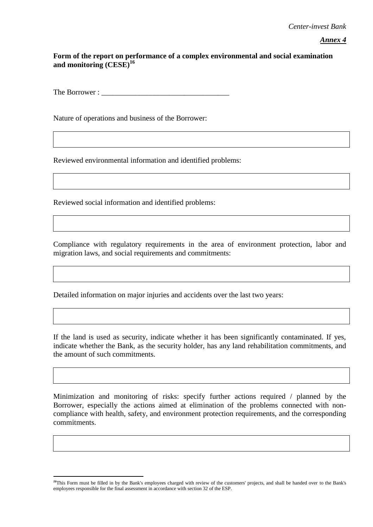*Annex 4*

## **Form of the report on performance of a complex environmental and social examination and monitoring (CESE)<sup>16</sup>**

The Borrower :

Nature of operations and business of the Borrower:

Reviewed environmental information and identified problems:

Reviewed social information and identified problems:

<u>.</u>

Compliance with regulatory requirements in the area of environment protection, labor and migration laws, and social requirements and commitments:

Detailed information on major injuries and accidents over the last two years:

If the land is used as security, indicate whether it has been significantly contaminated. If yes, indicate whether the Bank, as the security holder, has any land rehabilitation commitments, and the amount of such commitments.

Minimization and monitoring of risks: specify further actions required / planned by the Borrower, especially the actions aimed at elimination of the problems connected with noncompliance with health, safety, and environment protection requirements, and the corresponding commitments.

<sup>&</sup>lt;sup>16</sup>This Form must be filled in by the Bank's employees charged with review of the customers' projects, and shall be handed over to the Bank's employees responsible for the final assessment in accordance with section 32 of the ESP.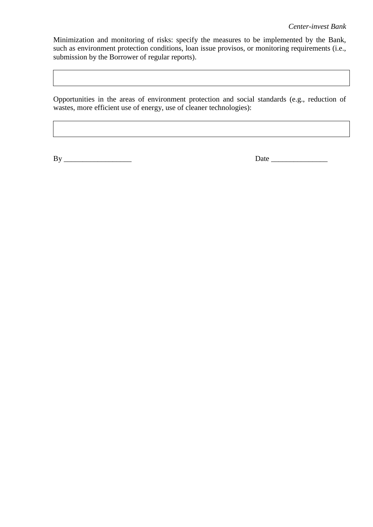Minimization and monitoring of risks: specify the measures to be implemented by the Bank, such as environment protection conditions, loan issue provisos, or monitoring requirements (i.e., submission by the Borrower of regular reports).

Opportunities in the areas of environment protection and social standards (e.g., reduction of wastes, more efficient use of energy, use of cleaner technologies):

By \_\_\_\_\_\_\_\_\_\_\_\_\_\_\_\_\_\_ Date \_\_\_\_\_\_\_\_\_\_\_\_\_\_\_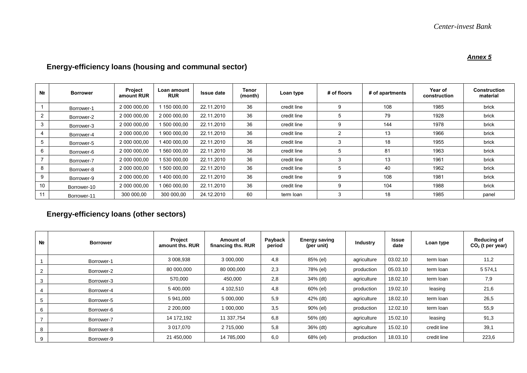#### *Annex 5*

| N <sub>2</sub> | <b>Borrower</b> | Project<br>amount RUR | Loan amount<br><b>RUR</b> | <b>Issue date</b> | Tenor<br>(month) | Loan type   | # of floors | # of apartments | Year of<br>construction | <b>Construction</b><br>material |
|----------------|-----------------|-----------------------|---------------------------|-------------------|------------------|-------------|-------------|-----------------|-------------------------|---------------------------------|
|                | Borrower-1      | 2 000 000,00          | 150 000,00                | 22.11.2010        | 36               | credit line | 9           | 108             | 1985                    | brick                           |
| 2              | Borrower-2      | 2 000 000,00          | 2 000 000,00              | 22.11.2010        | 36               | credit line | 5           | 79              | 1928                    | brick                           |
| 3              | Borrower-3      | 2 000 000,00          | 1 500 000,00              | 22.11.2010        | 36               | credit line | 9           | 144             | 1978                    | brick                           |
| $\overline{4}$ | Borrower-4      | 2 000 000,00          | 900 000,00                | 22.11.2010        | 36               | credit line | 2           | 13              | 1966                    | brick                           |
| 5              | Borrower-5      | 2 000 000,00          | 400 000,00                | 22.11.2010        | 36               | credit line | 3           | 18              | 1955                    | brick                           |
| 6              | Borrower-6      | 2 000 000,00          | 560 000,00                | 22.11.2010        | 36               | credit line | 5           | 81              | 1963                    | brick                           |
|                | Borrower-7      | 2 000 000,00          | 530 000,00                | 22.11.2010        | 36               | credit line | 3           | 13              | 1961                    | brick                           |
| 8              | Borrower-8      | 2 000 000,00          | 500 000,00                | 22.11.2010        | 36               | credit line | 5           | 40              | 1962                    | brick                           |
| 9              | Borrower-9      | 2 000 000,00          | 400 000,00                | 22.11.2010        | 36               | credit line | 9           | 108             | 1981                    | brick                           |
| 10             | Borrower-10     | 2 000 000,00          | 060 000,00                | 22.11.2010        | 36               | credit line | 9           | 104             | 1988                    | brick                           |
| 11             | Borrower-11     | 300 000,00            | 300 000,00                | 24.12.2010        | 60               | term loan   | 3           | 18              | 1985                    | panel                           |

# **Energy-efficiency loans (housing and communal sector)**

# **Energy-efficiency loans (other sectors)**

| N <sub>2</sub>  | <b>Borrower</b> | <b>Project</b><br>amount ths, RUR | Amount of<br>financing ths. RUR | Payback<br>period | <b>Energy saving</b><br>(per unit) | <b>Industry</b> | <b>Issue</b><br>date | Loan type   | <b>Reducing of</b><br>$CO2$ (t per year) |
|-----------------|-----------------|-----------------------------------|---------------------------------|-------------------|------------------------------------|-----------------|----------------------|-------------|------------------------------------------|
|                 | Borrower-1      | 3 008,938                         | 3 000,000                       | 4,8               | 85% (el)                           | agriculture     | 03.02.10             | term loan   | 11,2                                     |
| 2               | Borrower-2      | 80 000,000                        | 80 000,000                      | 2,3               | 78% (el)                           | production      | 05.03.10             | term loan   | 5 5 7 4 1                                |
| 3               | Borrower-3      | 570,000                           | 450,000                         | 2,8               | 34% (dt)                           | agriculture     | 18.02.10             | term loan   | 7,9                                      |
| 4               | Borrower-4      | 5 400,000                         | 4 102.510                       | 4,8               | 60% (el)                           | production      | 19.02.10             | leasing     | 21,6                                     |
| $5\overline{5}$ | Borrower-5      | 5 941,000                         | 5 000,000                       | 5,9               | 42% (dt)                           | agriculture     | 18.02.10             | term loan   | 26,5                                     |
| 6               | Borrower-6      | 2 200,000                         | 1 000,000                       | 3,5               | 90% (el)                           | production      | 12.02.10             | term loan   | 55,9                                     |
|                 | Borrower-7      | 14 172,192                        | 11 337,754                      | 6,8               | 56% (dt)                           | agriculture     | 15.02.10             | leasing     | 91,3                                     |
| 8               | Borrower-8      | 3 017,070                         | 2 715,000                       | 5,8               | 36% (dt)                           | agriculture     | 15.02.10             | credit line | 39,1                                     |
| 9               | Borrower-9      | 21 450,000                        | 14 785,000                      | 6,0               | 68% (el)                           | production      | 18.03.10             | credit line | 223,6                                    |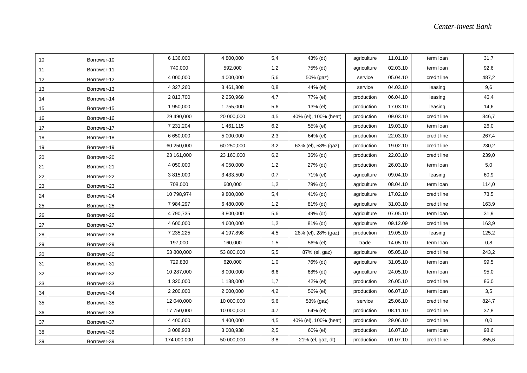| 10 | Borrower-10 | 6 136,000   | 4 800,000  | 5,4 | 43% (dt)              | agriculture | 11.01.10 | term loan   | 31,7  |
|----|-------------|-------------|------------|-----|-----------------------|-------------|----------|-------------|-------|
| 11 | Borrower-11 | 740,000     | 592,000    | 1,2 | 75% (dt)              | agriculture | 02.03.10 | term loan   | 92,6  |
| 12 | Borrower-12 | 4 000,000   | 4 000,000  | 5,6 | 50% (gaz)             | service     | 05.04.10 | credit line | 487,2 |
| 13 | Borrower-13 | 4 327,260   | 3 461,808  | 0,8 | 44% (el)              | service     | 04.03.10 | leasing     | 9,6   |
| 14 | Borrower-14 | 2 813,700   | 2 250,968  | 4,7 | 77% (el)              | production  | 06.04.10 | leasing     | 46,4  |
| 15 | Borrower-15 | 1 950,000   | 1755,000   | 5,6 | 13% (el)              | production  | 17.03.10 | leasing     | 14,6  |
| 16 | Borrower-16 | 29 490,000  | 20 000,000 | 4,5 | 40% (el), 100% (heat) | production  | 09.03.10 | credit line | 346,7 |
| 17 | Borrower-17 | 7 231,204   | 1461,115   | 6,2 | 55% (el)              | production  | 19.03.10 | term loan   | 26,0  |
| 18 | Borrower-18 | 6 650,000   | 5 000,000  | 2,3 | 64% (el)              | production  | 22.03.10 | credit line | 267,4 |
| 19 | Borrower-19 | 60 250,000  | 60 250,000 | 3,2 | 63% (el), 58% (gaz)   | production  | 19.02.10 | credit line | 230,2 |
| 20 | Borrower-20 | 23 161,000  | 23 160,000 | 6,2 | 36% (dt)              | production  | 22.03.10 | credit line | 239,0 |
| 21 | Borrower-21 | 4 050,000   | 4 050,000  | 1,2 | 27% (dt)              | production  | 26.03.10 | term loan   | 5,0   |
| 22 | Borrower-22 | 3 815,000   | 3 433,500  | 0,7 | 71% (el)              | agriculture | 09.04.10 | leasing     | 60,9  |
| 23 | Borrower-23 | 708,000     | 600,000    | 1,2 | 79% (dt)              | agriculture | 08.04.10 | term loan   | 114,0 |
| 24 | Borrower-24 | 10 798,974  | 9 800,000  | 5,4 | 41% (dt)              | agriculture | 17.02.10 | credit line | 73,5  |
| 25 | Borrower-25 | 7 984,297   | 6 480,000  | 1,2 | 81% (dt)              | agriculture | 31.03.10 | credit line | 163,9 |
| 26 | Borrower-26 | 4 790,735   | 3 800,000  | 5,6 | 49% (dt)              | agriculture | 07.05.10 | term loan   | 31,9  |
| 27 | Borrower-27 | 4 600,000   | 4 600,000  | 1,2 | 81% (dt)              | agriculture | 09.12.09 | credit line | 163,9 |
| 28 | Borrower-28 | 7 235,225   | 4 197,898  | 4,5 | 28% (el), 28% (gaz)   | production  | 19.05.10 | leasing     | 125,2 |
| 29 | Borrower-29 | 197,000     | 160,000    | 1,5 | 56% (el)              | trade       | 14.05.10 | term loan   | 0,8   |
| 30 | Borrower-30 | 53 800,000  | 53 800,000 | 5,5 | 87% (el, gaz)         | agriculture | 05.05.10 | credit line | 243,2 |
| 31 | Borrower-31 | 729,830     | 620,000    | 1,0 | 76% (dt)              | agriculture | 31.05.10 | term loan   | 99,5  |
| 32 | Borrower-32 | 10 287,000  | 8 000,000  | 6,6 | 68% (dt)              | agriculture | 24.05.10 | term loan   | 95,0  |
| 33 | Borrower-33 | 1 320,000   | 1 188,000  | 1,7 | 42% (el)              | production  | 26.05.10 | credit line | 86,0  |
| 34 | Borrower-34 | 2 200,000   | 2 000,000  | 4,2 | 56% (el)              | production  | 06.07.10 | term loan   | 3,5   |
| 35 | Borrower-35 | 12 040,000  | 10 000,000 | 5,6 | 53% (gaz)             | service     | 25.06.10 | credit line | 824,7 |
| 36 | Borrower-36 | 17 750,000  | 10 000,000 | 4,7 | 64% (el)              | production  | 08.11.10 | credit line | 37,8  |
| 37 | Borrower-37 | 4 400,000   | 4 400,000  | 4,5 | 40% (el), 100% (heat) | production  | 29.06.10 | credit line | 0,0   |
| 38 | Borrower-38 | 3 008,938   | 3 008,938  | 2,5 | 60% (el)              | production  | 16.07.10 | term loan   | 98,6  |
| 39 | Borrower-39 | 174 000,000 | 50 000,000 | 3,8 | 21% (el, gaz, dt)     | production  | 01.07.10 | credit line | 855,6 |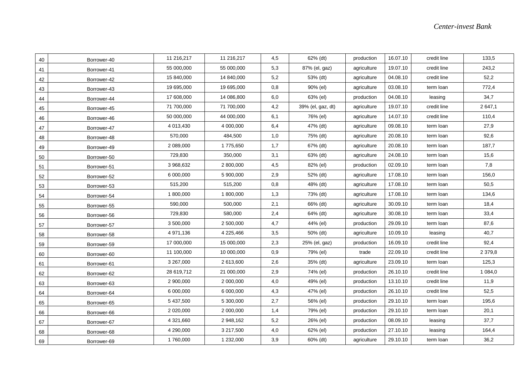| 40 | Borrower-40 | 11 216,217 | 11 216,217 | 4,5 | 62% (dt)          | production  | 16.07.10 | credit line | 133,5       |
|----|-------------|------------|------------|-----|-------------------|-------------|----------|-------------|-------------|
| 41 | Borrower-41 | 55 000,000 | 55 000,000 | 5,3 | 87% (el, gaz)     | agriculture | 19.07.10 | credit line | 243,2       |
| 42 | Borrower-42 | 15 840,000 | 14 840,000 | 5,2 | 53% (dt)          | agriculture | 04.08.10 | credit line | 52,2        |
| 43 | Borrower-43 | 19 695,000 | 19 695,000 | 0,8 | 90% (el)          | agriculture | 03.08.10 | term loan   | 772,4       |
| 44 | Borrower-44 | 17 608,000 | 14 086,800 | 6,0 | 63% (el)          | production  | 04.08.10 | leasing     | 34,7        |
| 45 | Borrower-45 | 71 700,000 | 71 700,000 | 4,2 | 39% (el, gaz, dt) | agriculture | 19.07.10 | credit line | 2 647,1     |
| 46 | Borrower-46 | 50 000,000 | 44 000,000 | 6,1 | 76% (el)          | agriculture | 14.07.10 | credit line | 110,4       |
| 47 | Borrower-47 | 4 013,430  | 4 000,000  | 6,4 | 47% (dt)          | agriculture | 09.08.10 | term loan   | 27,9        |
| 48 | Borrower-48 | 570,000    | 484,500    | 1,0 | 75% (dt)          | agriculture | 20.08.10 | term loan   | 92,6        |
| 49 | Borrower-49 | 2 089,000  | 1775,650   | 1,7 | 67% (dt)          | agriculture | 20.08.10 | term loan   | 187,7       |
| 50 | Borrower-50 | 729,830    | 350,000    | 3,1 | 63% (dt)          | agriculture | 24.08.10 | term loan   | 15,6        |
| 51 | Borrower-51 | 3 968,632  | 2 800,000  | 4,5 | 82% (el)          | production  | 02.09.10 | term loan   | 7,8         |
| 52 | Borrower-52 | 6 000,000  | 5 900,000  | 2,9 | 52% (dt)          | agriculture | 17.08.10 | term loan   | 156,0       |
| 53 | Borrower-53 | 515,200    | 515,200    | 0,8 | 48% (dt)          | agriculture | 17.08.10 | term loan   | 50,5        |
| 54 | Borrower-54 | 1 800,000  | 1800,000   | 1,3 | 73% (dt)          | agriculture | 17.08.10 | term loan   | 134,6       |
| 55 | Borrower-55 | 590,000    | 500,000    | 2,1 | 66% (dt)          | agriculture | 30.09.10 | term loan   | 18,4        |
| 56 | Borrower-56 | 729,830    | 580,000    | 2,4 | 64% (dt)          | agriculture | 30.08.10 | term loan   | 33,4        |
| 57 | Borrower-57 | 3 500,000  | 2 500,000  | 4,7 | 44% (el)          | production  | 29.09.10 | term loan   | 87,6        |
| 58 | Borrower-58 | 4 971,136  | 4 225,466  | 3,5 | 50% (dt)          | agriculture | 10.09.10 | leasing     | 40,7        |
| 59 | Borrower-59 | 17 000,000 | 15 000,000 | 2,3 | 25% (el, gaz)     | production  | 16.09.10 | credit line | 92,4        |
| 60 | Borrower-60 | 11 100,000 | 10 000,000 | 0,9 | 79% (el)          | trade       | 22.09.10 | credit line | 2 3 7 9, 8  |
| 61 | Borrower-61 | 3 267,000  | 2 613,600  | 2,6 | 35% (dt)          | agriculture | 23.09.10 | term loan   | 125,3       |
| 62 | Borrower-62 | 28 619,712 | 21 000,000 | 2,9 | 74% (el)          | production  | 26.10.10 | credit line | 1 0 8 4 , 0 |
| 63 | Borrower-63 | 2 900,000  | 2 000,000  | 4,0 | 49% (el)          | production  | 13.10.10 | credit line | 11,9        |
| 64 | Borrower-64 | 6 000,000  | 6 000,000  | 4,3 | 47% (el)          | production  | 26.10.10 | credit line | 52,5        |
| 65 | Borrower-65 | 5 437,500  | 5 300,000  | 2,7 | 56% (el)          | production  | 29.10.10 | term loan   | 195,6       |
| 66 | Borrower-66 | 2 020,000  | 2 000,000  | 1,4 | 79% (el)          | production  | 29.10.10 | term loan   | 20,1        |
| 67 | Borrower-67 | 4 321,660  | 2 948,162  | 5,2 | 26% (el)          | production  | 08.09.10 | leasing     | 37,7        |
| 68 | Borrower-68 | 4 290,000  | 3 217,500  | 4,0 | 62% (el)          | production  | 27.10.10 | leasing     | 164,4       |
| 69 | Borrower-69 | 1760,000   | 1 232,000  | 3,9 | 60% (dt)          | agriculture | 29.10.10 | term loan   | 36,2        |